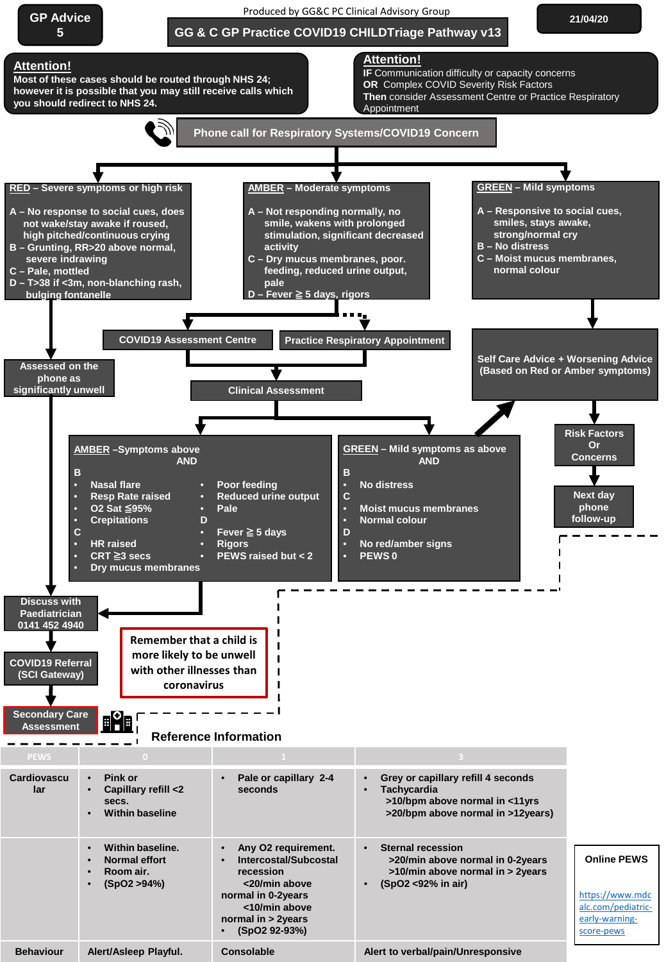